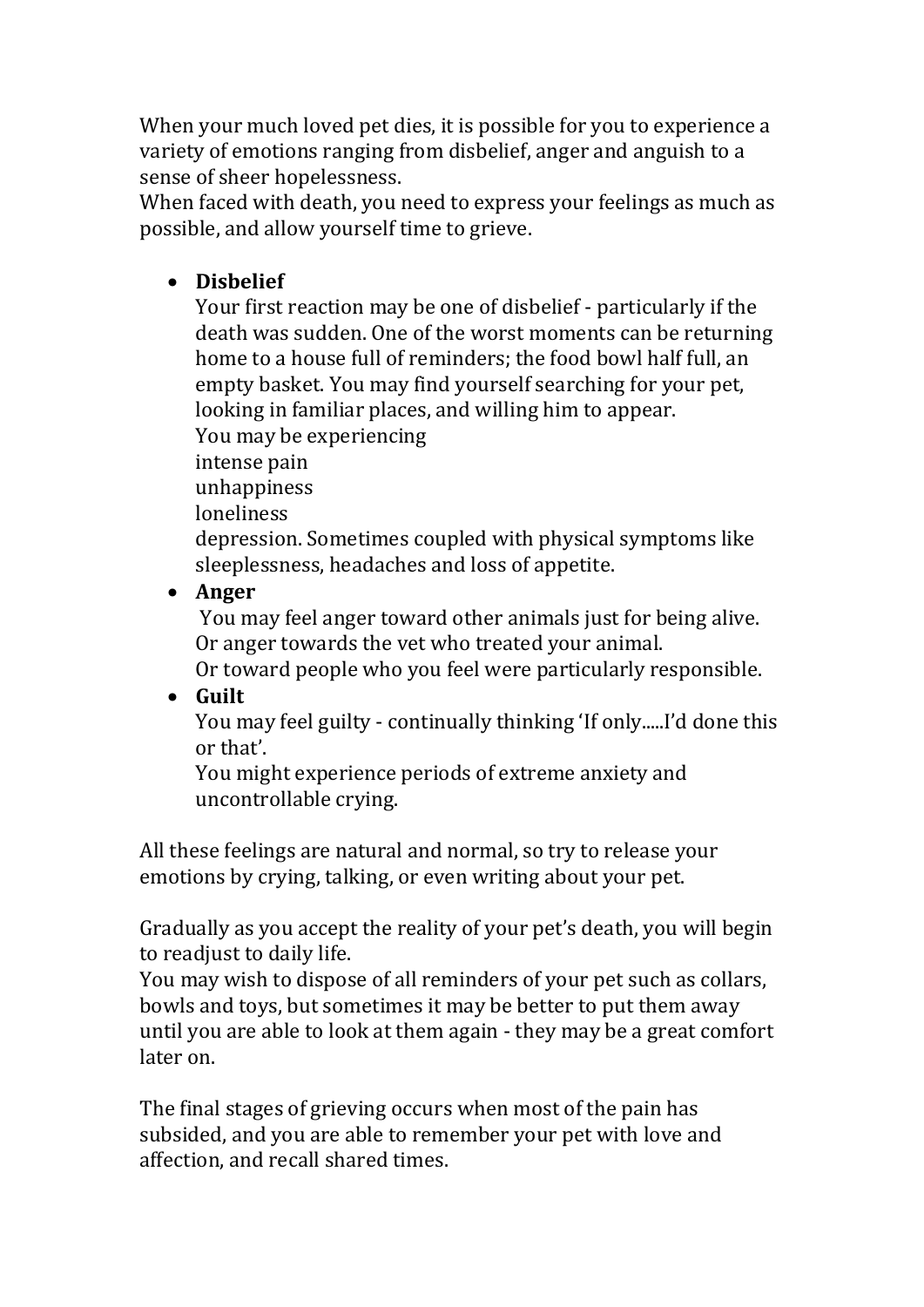When your much loved pet dies, it is possible for you to experience a variety of emotions ranging from disbelief, anger and anguish to a sense of sheer hopelessness.

When faced with death, you need to express your feelings as much as possible, and allow yourself time to grieve.

## **Disbelief**

Your first reaction may be one of disbelief - particularly if the death was sudden. One of the worst moments can be returning home to a house full of reminders; the food bowl half full, an empty basket. You may find yourself searching for your pet, looking in familiar places, and willing him to appear. You may be experiencing intense pain unhappiness loneliness depression. Sometimes coupled with physical symptoms like sleeplessness, headaches and loss of appetite.

## **Anger**

You may feel anger toward other animals just for being alive. Or anger towards the vet who treated your animal.

Or toward people who you feel were particularly responsible.

## **Guilt**

You may feel guilty - continually thinking 'If only.....I'd done this or that'.

You might experience periods of extreme anxiety and uncontrollable crying.

All these feelings are natural and normal, so try to release your emotions by crying, talking, or even writing about your pet.

Gradually as you accept the reality of your pet's death, you will begin to readjust to daily life.

You may wish to dispose of all reminders of your pet such as collars, bowls and toys, but sometimes it may be better to put them away until you are able to look at them again - they may be a great comfort later on.

The final stages of grieving occurs when most of the pain has subsided, and you are able to remember your pet with love and affection, and recall shared times.